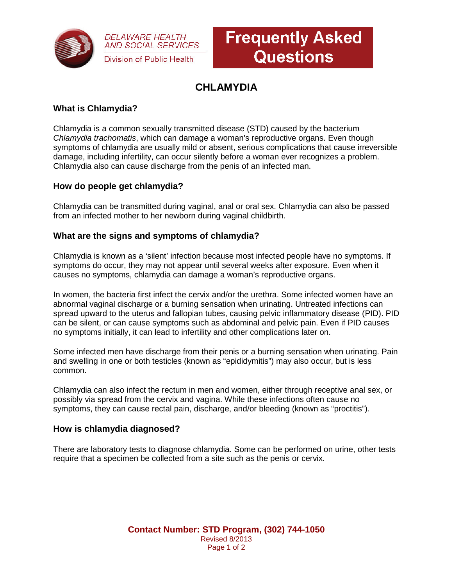

**DELAWARE HEALTH AND SOCIAL SERVICES** Division of Public Health

# **Frequently Asked Questions**

# **CHLAMYDIA**

# **What is Chlamydia?**

Chlamydia is a common sexually transmitted disease (STD) caused by the bacterium *Chlamydia trachomatis*, which can damage a woman's reproductive organs. Even though symptoms of chlamydia are usually mild or absent, serious complications that cause irreversible damage, including infertility, can occur silently before a woman ever recognizes a problem. Chlamydia also can cause discharge from the penis of an infected man.

# **How do people get chlamydia?**

Chlamydia can be transmitted during vaginal, anal or oral sex. Chlamydia can also be passed from an infected mother to her newborn during vaginal childbirth.

#### **What are the signs and symptoms of chlamydia?**

Chlamydia is known as a 'silent' infection because most infected people have no symptoms. If symptoms do occur, they may not appear until several weeks after exposure. Even when it causes no symptoms, chlamydia can damage a woman's reproductive organs.

In women, the bacteria first infect the cervix and/or the urethra. Some infected women have an abnormal vaginal discharge or a burning sensation when urinating. Untreated infections can spread upward to the uterus and fallopian tubes, causing pelvic inflammatory disease (PID). PID can be silent, or can cause symptoms such as abdominal and pelvic pain. Even if PID causes no symptoms initially, it can lead to infertility and other complications later on.

Some infected men have discharge from their penis or a burning sensation when urinating. Pain and swelling in one or both testicles (known as "epididymitis") may also occur, but is less common.

Chlamydia can also infect the rectum in men and women, either through receptive anal sex, or possibly via spread from the cervix and vagina. While these infections often cause no symptoms, they can cause rectal pain, discharge, and/or bleeding (known as "proctitis").

#### **How is chlamydia diagnosed?**

There are laboratory tests to diagnose chlamydia. Some can be performed on urine, other tests require that a specimen be collected from a site such as the penis or cervix.